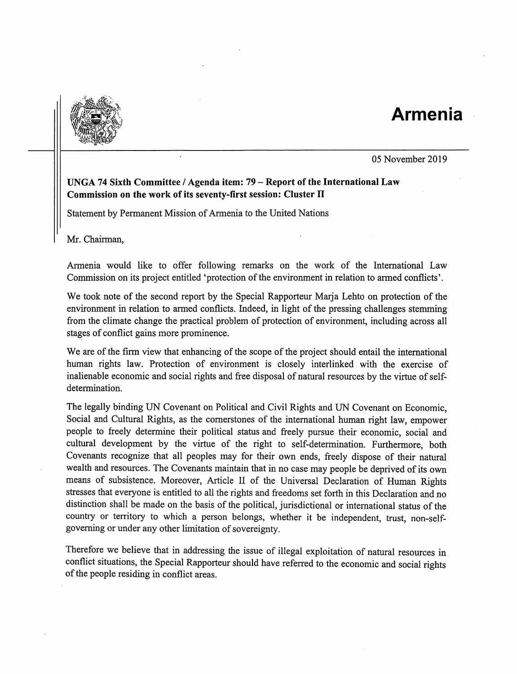## Armenia



05 November 2019

## UNGA 74 Sixth Committee / Agenda item: 79 - Report of the International Law Commission on the work of its seventy-first session: Cluster IT

Statement by Permanent Mission of Armenia to the United Nations

Mr. Chairman,

Armenia would like to offer following remarks on the work of the International Law Commission on its project entitled 'protection of the environment in relation to armed conflicts'.

We took note of the second report by the Special Rapporteur Marja Lehto on protection of the environment in relation to armed conflicts. Indeed, in light of the pressing challenges stemming from the climate change the practical problem of protection of environment, including across all stages of conflict gains more prominence.

We are of the firm view that enhancing of the scope of the project should entail the international human rights law. Protection of environment is closely interlinked with the exercise of inalienable economic and social rights and free disposal of natural resources by the virtue of selfdetermination.

The legally binding UN Covenant on Political and Civil Rights and UN Covenant on Economic, Social and Cultural Rights, as the comerstones of the international human right law, empower people to freely determine their political status and freely pursue their economic, social and cultural development by the virtue of the right to self-determination. Furthermore, both Covenants recognize that all peoples may for their own ends, freely dispose of their natural wealth and resources. The Covenants maintain that in no case may people be deprived of its own means of subsistence. Moreover, Article II of the Universal Declaration of Human Rights stresses that everyone is entitled to all the rights and freedoms set forth in this Declaration and no distinction shall be made on the basis of the political, jurisdictional or international status of the country or territory to which a person belongs, whether it be independent, trust, non-selfgoverning or under any other limitation of sovereignty.

Therefore we believe that in addressing the issue of illegal exploitation of natural resources in conflict situations, the Special Rapporteur should have referred to the economic and social rights of the people residing in conflict areas.